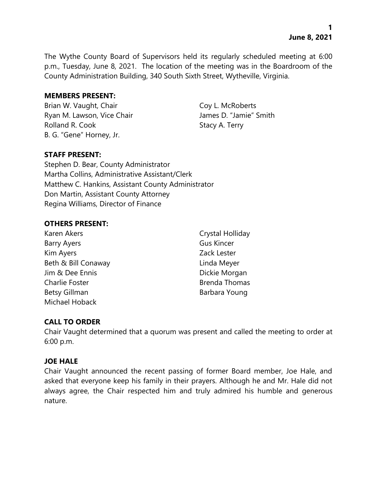The Wythe County Board of Supervisors held its regularly scheduled meeting at 6:00 p.m., Tuesday, June 8, 2021. The location of the meeting was in the Boardroom of the County Administration Building, 340 South Sixth Street, Wytheville, Virginia.

### **MEMBERS PRESENT:**

Brian W. Vaught, Chair Coy L. McRoberts Ryan M. Lawson, Vice Chair **James D. "Jamie"** Smith Rolland R. Cook Stacy A. Terry B. G. "Gene" Horney, Jr.

## **STAFF PRESENT:**

Stephen D. Bear, County Administrator Martha Collins, Administrative Assistant/Clerk Matthew C. Hankins, Assistant County Administrator Don Martin, Assistant County Attorney Regina Williams, Director of Finance

## **OTHERS PRESENT:**

Karen Akers **Crystal Holliday** Barry Ayers **Gus Kincer** Kim Ayers **Zack Lester** Beth & Bill Conaway **Linda Meyer** Jim & Dee Ennis **Dickie Morgan** Charlie Foster **Brenda Thomas** Betsy Gillman Barbara Young Michael Hoback

# **CALL TO ORDER**

Chair Vaught determined that a quorum was present and called the meeting to order at 6:00 p.m.

## **JOE HALE**

Chair Vaught announced the recent passing of former Board member, Joe Hale, and asked that everyone keep his family in their prayers. Although he and Mr. Hale did not always agree, the Chair respected him and truly admired his humble and generous nature.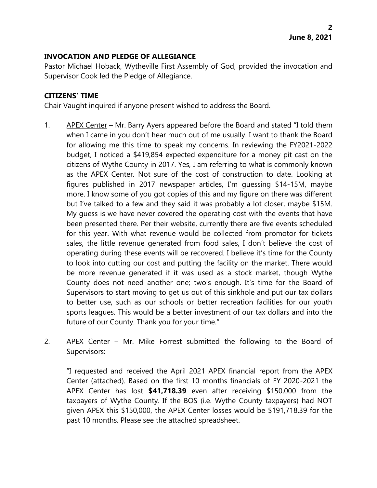## **INVOCATION AND PLEDGE OF ALLEGIANCE**

Pastor Michael Hoback, Wytheville First Assembly of God, provided the invocation and Supervisor Cook led the Pledge of Allegiance.

## **CITIZENS' TIME**

Chair Vaught inquired if anyone present wished to address the Board.

- 1. APEX Center Mr. Barry Ayers appeared before the Board and stated "I told them when I came in you don't hear much out of me usually. I want to thank the Board for allowing me this time to speak my concerns. In reviewing the FY2021-2022 budget, I noticed a \$419,854 expected expenditure for a money pit cast on the citizens of Wythe County in 2017. Yes, I am referring to what is commonly known as the APEX Center. Not sure of the cost of construction to date. Looking at figures published in 2017 newspaper articles, I'm guessing \$14-15M, maybe more. I know some of you got copies of this and my figure on there was different but I've talked to a few and they said it was probably a lot closer, maybe \$15M. My guess is we have never covered the operating cost with the events that have been presented there. Per their website, currently there are five events scheduled for this year. With what revenue would be collected from promotor for tickets sales, the little revenue generated from food sales, I don't believe the cost of operating during these events will be recovered. I believe it's time for the County to look into cutting our cost and putting the facility on the market. There would be more revenue generated if it was used as a stock market, though Wythe County does not need another one; two's enough. It's time for the Board of Supervisors to start moving to get us out of this sinkhole and put our tax dollars to better use, such as our schools or better recreation facilities for our youth sports leagues. This would be a better investment of our tax dollars and into the future of our County. Thank you for your time."
- 2. APEX Center Mr. Mike Forrest submitted the following to the Board of Supervisors:

"I requested and received the April 2021 APEX financial report from the APEX Center (attached). Based on the first 10 months financials of FY 2020-2021 the APEX Center has lost **\$41,718.39** even after receiving \$150,000 from the taxpayers of Wythe County. If the BOS (i.e. Wythe County taxpayers) had NOT given APEX this \$150,000, the APEX Center losses would be \$191,718.39 for the past 10 months. Please see the attached spreadsheet.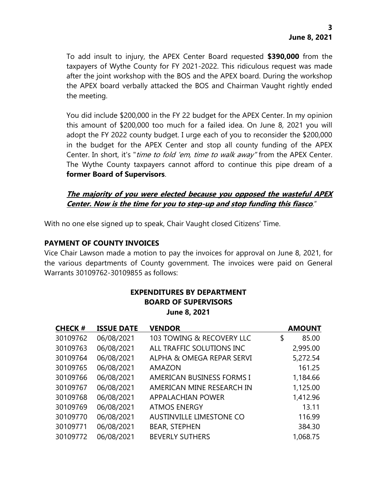To add insult to injury, the APEX Center Board requested **\$390,000** from the taxpayers of Wythe County for FY 2021-2022. This ridiculous request was made after the joint workshop with the BOS and the APEX board. During the workshop the APEX board verbally attacked the BOS and Chairman Vaught rightly ended the meeting.

You did include \$200,000 in the FY 22 budget for the APEX Center. In my opinion this amount of \$200,000 too much for a failed idea. On June 8, 2021 you will adopt the FY 2022 county budget. I urge each of you to reconsider the \$200,000 in the budget for the APEX Center and stop all county funding of the APEX Center. In short, it's "*time to fold 'em, time to walk away*" from the APEX Center. The Wythe County taxpayers cannot afford to continue this pipe dream of a **former Board of Supervisors**.

## **The majority of you were elected because you opposed the wasteful APEX Center. Now is the time for you to step-up and stop funding this fiasco**."

With no one else signed up to speak, Chair Vaught closed Citizens' Time.

## **PAYMENT OF COUNTY INVOICES**

Vice Chair Lawson made a motion to pay the invoices for approval on June 8, 2021, for the various departments of County government. The invoices were paid on General Warrants 30109762-30109855 as follows:

| <b>CHECK#</b> | <b>ISSUE DATE</b> | <b>VENDOR</b>                    | <b>AMOUNT</b> |
|---------------|-------------------|----------------------------------|---------------|
| 30109762      | 06/08/2021        | 103 TOWING & RECOVERY LLC        | \$<br>85.00   |
| 30109763      | 06/08/2021        | ALL TRAFFIC SOLUTIONS INC        | 2,995.00      |
| 30109764      | 06/08/2021        | ALPHA & OMEGA REPAR SERVI        | 5,272.54      |
| 30109765      | 06/08/2021        | AMAZON                           | 161.25        |
| 30109766      | 06/08/2021        | <b>AMERICAN BUSINESS FORMS I</b> | 1,184.66      |
| 30109767      | 06/08/2021        | AMERICAN MINE RESEARCH IN        | 1,125.00      |
| 30109768      | 06/08/2021        | <b>APPALACHIAN POWER</b>         | 1,412.96      |
| 30109769      | 06/08/2021        | <b>ATMOS ENERGY</b>              | 13.11         |
| 30109770      | 06/08/2021        | <b>AUSTINVILLE LIMESTONE CO</b>  | 116.99        |
| 30109771      | 06/08/2021        | <b>BEAR, STEPHEN</b>             | 384.30        |
| 30109772      | 06/08/2021        | <b>BEVERLY SUTHERS</b>           | 1,068.75      |

# **EXPENDITURES BY DEPARTMENT BOARD OF SUPERVISORS June 8, 2021**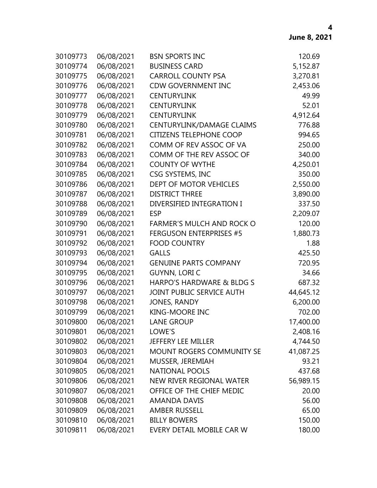| 30109773 | 06/08/2021 | <b>BSN SPORTS INC</b>            | 120.69    |
|----------|------------|----------------------------------|-----------|
| 30109774 | 06/08/2021 | <b>BUSINESS CARD</b>             | 5,152.87  |
| 30109775 | 06/08/2021 | <b>CARROLL COUNTY PSA</b>        | 3,270.81  |
| 30109776 | 06/08/2021 | <b>CDW GOVERNMENT INC</b>        | 2,453.06  |
| 30109777 | 06/08/2021 | <b>CENTURYLINK</b>               | 49.99     |
| 30109778 | 06/08/2021 | <b>CENTURYLINK</b>               | 52.01     |
| 30109779 | 06/08/2021 | <b>CENTURYLINK</b>               | 4,912.64  |
| 30109780 | 06/08/2021 | CENTURYLINK/DAMAGE CLAIMS        | 776.88    |
| 30109781 | 06/08/2021 | <b>CITIZENS TELEPHONE COOP</b>   | 994.65    |
| 30109782 | 06/08/2021 | COMM OF REV ASSOC OF VA          | 250.00    |
| 30109783 | 06/08/2021 | COMM OF THE REV ASSOC OF         | 340.00    |
| 30109784 | 06/08/2021 | <b>COUNTY OF WYTHE</b>           | 4,250.01  |
| 30109785 | 06/08/2021 | CSG SYSTEMS, INC                 | 350.00    |
| 30109786 | 06/08/2021 | DEPT OF MOTOR VEHICLES           | 2,550.00  |
| 30109787 | 06/08/2021 | <b>DISTRICT THREE</b>            | 3,890.00  |
| 30109788 | 06/08/2021 | DIVERSIFIED INTEGRATION I        | 337.50    |
| 30109789 | 06/08/2021 | <b>ESP</b>                       | 2,209.07  |
| 30109790 | 06/08/2021 | <b>FARMER'S MULCH AND ROCK O</b> | 120.00    |
| 30109791 | 06/08/2021 | <b>FERGUSON ENTERPRISES #5</b>   | 1,880.73  |
| 30109792 | 06/08/2021 | <b>FOOD COUNTRY</b>              | 1.88      |
| 30109793 | 06/08/2021 | <b>GALLS</b>                     | 425.50    |
| 30109794 | 06/08/2021 | <b>GENUINE PARTS COMPANY</b>     | 720.95    |
| 30109795 | 06/08/2021 | <b>GUYNN, LORI C</b>             | 34.66     |
| 30109796 | 06/08/2021 | HARPO'S HARDWARE & BLDG S        | 687.32    |
| 30109797 | 06/08/2021 | JOINT PUBLIC SERVICE AUTH        | 44,645.12 |
| 30109798 | 06/08/2021 | <b>JONES, RANDY</b>              | 6,200.00  |
| 30109799 | 06/08/2021 | <b>KING-MOORE INC</b>            | 702.00    |
| 30109800 | 06/08/2021 | <b>LANE GROUP</b>                | 17,400.00 |
| 30109801 | 06/08/2021 | LOWE'S                           | 2,408.16  |
| 30109802 | 06/08/2021 | JEFFERY LEE MILLER               | 4,744.50  |
| 30109803 | 06/08/2021 | MOUNT ROGERS COMMUNITY SE        | 41,087.25 |
| 30109804 | 06/08/2021 | MUSSER, JEREMIAH                 | 93.21     |
| 30109805 | 06/08/2021 | <b>NATIONAL POOLS</b>            | 437.68    |
| 30109806 | 06/08/2021 | NEW RIVER REGIONAL WATER         | 56,989.15 |
| 30109807 | 06/08/2021 | OFFICE OF THE CHIEF MEDIC        | 20.00     |
| 30109808 | 06/08/2021 | <b>AMANDA DAVIS</b>              | 56.00     |
| 30109809 | 06/08/2021 | <b>AMBER RUSSELL</b>             | 65.00     |
| 30109810 | 06/08/2021 | <b>BILLY BOWERS</b>              | 150.00    |
| 30109811 | 06/08/2021 | EVERY DETAIL MOBILE CAR W        | 180.00    |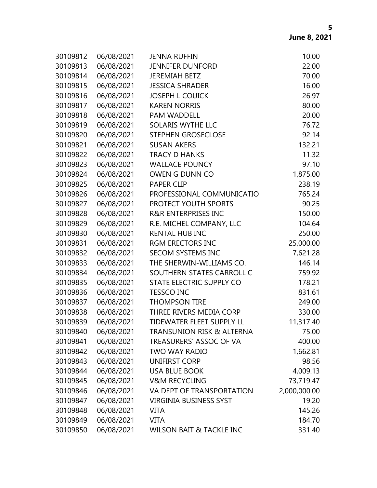| 30109812 | 06/08/2021 | <b>JENNA RUFFIN</b>                  | 10.00        |
|----------|------------|--------------------------------------|--------------|
| 30109813 | 06/08/2021 | <b>JENNIFER DUNFORD</b>              | 22.00        |
| 30109814 | 06/08/2021 | <b>JEREMIAH BETZ</b>                 | 70.00        |
| 30109815 | 06/08/2021 | <b>JESSICA SHRADER</b>               | 16.00        |
| 30109816 | 06/08/2021 | <b>JOSEPH L COUICK</b>               | 26.97        |
| 30109817 | 06/08/2021 | <b>KAREN NORRIS</b>                  | 80.00        |
| 30109818 | 06/08/2021 | <b>PAM WADDELL</b>                   | 20.00        |
| 30109819 | 06/08/2021 | SOLARIS WYTHE LLC                    | 76.72        |
| 30109820 | 06/08/2021 | STEPHEN GROSECLOSE                   | 92.14        |
| 30109821 | 06/08/2021 | <b>SUSAN AKERS</b>                   | 132.21       |
| 30109822 | 06/08/2021 | <b>TRACY D HANKS</b>                 | 11.32        |
| 30109823 | 06/08/2021 | <b>WALLACE POUNCY</b>                | 97.10        |
| 30109824 | 06/08/2021 | OWEN G DUNN CO                       | 1,875.00     |
| 30109825 | 06/08/2021 | <b>PAPER CLIP</b>                    | 238.19       |
| 30109826 | 06/08/2021 | PROFESSIONAL COMMUNICATIO            | 765.24       |
| 30109827 | 06/08/2021 | PROTECT YOUTH SPORTS                 | 90.25        |
| 30109828 | 06/08/2021 | <b>R&amp;R ENTERPRISES INC</b>       | 150.00       |
| 30109829 | 06/08/2021 | R.E. MICHEL COMPANY, LLC             | 104.64       |
| 30109830 | 06/08/2021 | <b>RENTAL HUB INC</b>                | 250.00       |
| 30109831 | 06/08/2021 | <b>RGM ERECTORS INC</b>              | 25,000.00    |
| 30109832 | 06/08/2021 | <b>SECOM SYSTEMS INC</b>             | 7,621.28     |
| 30109833 | 06/08/2021 | THE SHERWIN-WILLIAMS CO.             | 146.14       |
| 30109834 | 06/08/2021 | SOUTHERN STATES CARROLL C            | 759.92       |
| 30109835 | 06/08/2021 | STATE ELECTRIC SUPPLY CO             | 178.21       |
| 30109836 | 06/08/2021 | <b>TESSCO INC</b>                    | 831.61       |
| 30109837 | 06/08/2021 | <b>THOMPSON TIRE</b>                 | 249.00       |
| 30109838 | 06/08/2021 | THREE RIVERS MEDIA CORP              | 330.00       |
| 30109839 | 06/08/2021 | <b>TIDEWATER FLEET SUPPLY LL</b>     | 11,317.40    |
| 30109840 | 06/08/2021 | <b>TRANSUNION RISK &amp; ALTERNA</b> | 75.00        |
| 30109841 | 06/08/2021 | TREASURERS' ASSOC OF VA              | 400.00       |
| 30109842 | 06/08/2021 | <b>TWO WAY RADIO</b>                 | 1,662.81     |
| 30109843 | 06/08/2021 | UNIFIRST CORP                        | 98.56        |
| 30109844 | 06/08/2021 | <b>USA BLUE BOOK</b>                 | 4,009.13     |
| 30109845 | 06/08/2021 | <b>V&amp;M RECYCLING</b>             | 73,719.47    |
| 30109846 | 06/08/2021 | VA DEPT OF TRANSPORTATION            | 2,000,000.00 |
| 30109847 | 06/08/2021 | <b>VIRGINIA BUSINESS SYST</b>        | 19.20        |
| 30109848 | 06/08/2021 | <b>VITA</b>                          | 145.26       |
| 30109849 | 06/08/2021 | <b>VITA</b>                          | 184.70       |
| 30109850 | 06/08/2021 | WILSON BAIT & TACKLE INC             | 331.40       |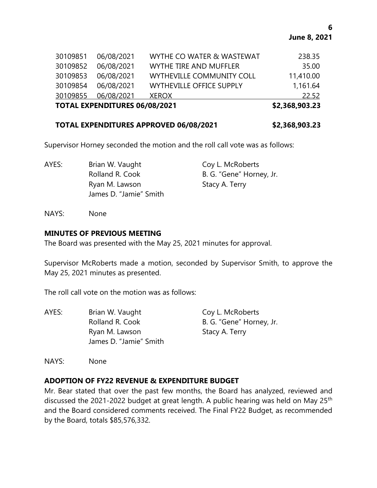| <b>TOTAL EXPENDITURES 06/08/2021</b> |            |                                 | \$2,368,903.23 |
|--------------------------------------|------------|---------------------------------|----------------|
| 30109855                             | 06/08/2021 | <b>XEROX</b>                    | 22.52          |
| 30109854                             | 06/08/2021 | <b>WYTHEVILLE OFFICE SUPPLY</b> | 1,161.64       |
| 30109853                             | 06/08/2021 | WYTHEVILLE COMMUNITY COLL       | 11,410.00      |
| 30109852                             | 06/08/2021 | <b>WYTHE TIRE AND MUFFLER</b>   | 35.00          |
| 30109851                             | 06/08/2021 | WYTHE CO WATER & WASTEWAT       | 238.35         |

### **TOTAL EXPENDITURES APPROVED 06/08/2021 \$2,368,903.23**

Supervisor Horney seconded the motion and the roll call vote was as follows:

| AYES: | Brian W. Vaught        | Coy L. McRoberts         |
|-------|------------------------|--------------------------|
|       | Rolland R. Cook        | B. G. "Gene" Horney, Jr. |
|       | Ryan M. Lawson         | Stacy A. Terry           |
|       | James D. "Jamie" Smith |                          |

NAYS: None

#### **MINUTES OF PREVIOUS MEETING**

The Board was presented with the May 25, 2021 minutes for approval.

Supervisor McRoberts made a motion, seconded by Supervisor Smith, to approve the May 25, 2021 minutes as presented.

The roll call vote on the motion was as follows:

| AYES: | Brian W. Vaught                          | Coy L. McRoberts         |
|-------|------------------------------------------|--------------------------|
|       | Rolland R. Cook                          | B. G. "Gene" Horney, Jr. |
|       | Ryan M. Lawson<br>James D. "Jamie" Smith | Stacy A. Terry           |
|       |                                          |                          |

NAYS: None

## **ADOPTION OF FY22 REVENUE & EXPENDITURE BUDGET**

Mr. Bear stated that over the past few months, the Board has analyzed, reviewed and discussed the 2021-2022 budget at great length. A public hearing was held on May 25<sup>th</sup> and the Board considered comments received. The Final FY22 Budget, as recommended by the Board, totals \$85,576,332.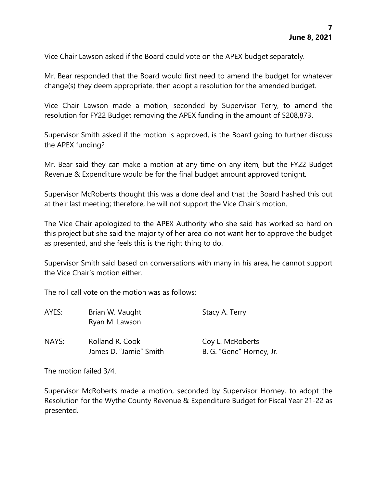Vice Chair Lawson asked if the Board could vote on the APEX budget separately.

Mr. Bear responded that the Board would first need to amend the budget for whatever change(s) they deem appropriate, then adopt a resolution for the amended budget.

Vice Chair Lawson made a motion, seconded by Supervisor Terry, to amend the resolution for FY22 Budget removing the APEX funding in the amount of \$208,873.

Supervisor Smith asked if the motion is approved, is the Board going to further discuss the APEX funding?

Mr. Bear said they can make a motion at any time on any item, but the FY22 Budget Revenue & Expenditure would be for the final budget amount approved tonight.

Supervisor McRoberts thought this was a done deal and that the Board hashed this out at their last meeting; therefore, he will not support the Vice Chair's motion.

The Vice Chair apologized to the APEX Authority who she said has worked so hard on this project but she said the majority of her area do not want her to approve the budget as presented, and she feels this is the right thing to do.

Supervisor Smith said based on conversations with many in his area, he cannot support the Vice Chair's motion either.

The roll call vote on the motion was as follows:

| AYES: | Brian W. Vaught<br>Ryan M. Lawson         | Stacy A. Terry                               |
|-------|-------------------------------------------|----------------------------------------------|
| NAYS: | Rolland R. Cook<br>James D. "Jamie" Smith | Coy L. McRoberts<br>B. G. "Gene" Horney, Jr. |

The motion failed 3/4.

Supervisor McRoberts made a motion, seconded by Supervisor Horney, to adopt the Resolution for the Wythe County Revenue & Expenditure Budget for Fiscal Year 21-22 as presented.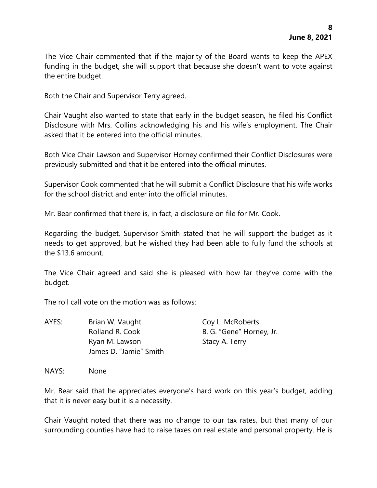The Vice Chair commented that if the majority of the Board wants to keep the APEX funding in the budget, she will support that because she doesn't want to vote against the entire budget.

Both the Chair and Supervisor Terry agreed.

Chair Vaught also wanted to state that early in the budget season, he filed his Conflict Disclosure with Mrs. Collins acknowledging his and his wife's employment. The Chair asked that it be entered into the official minutes.

Both Vice Chair Lawson and Supervisor Horney confirmed their Conflict Disclosures were previously submitted and that it be entered into the official minutes.

Supervisor Cook commented that he will submit a Conflict Disclosure that his wife works for the school district and enter into the official minutes.

Mr. Bear confirmed that there is, in fact, a disclosure on file for Mr. Cook.

Regarding the budget, Supervisor Smith stated that he will support the budget as it needs to get approved, but he wished they had been able to fully fund the schools at the \$13.6 amount.

The Vice Chair agreed and said she is pleased with how far they've come with the budget.

The roll call vote on the motion was as follows:

AYES: Brian W. Vaught Coy L. McRoberts Rolland R. Cook B. G. "Gene" Horney, Jr. Ryan M. Lawson Stacy A. Terry James D. "Jamie" Smith

NAYS: None

Mr. Bear said that he appreciates everyone's hard work on this year's budget, adding that it is never easy but it is a necessity.

Chair Vaught noted that there was no change to our tax rates, but that many of our surrounding counties have had to raise taxes on real estate and personal property. He is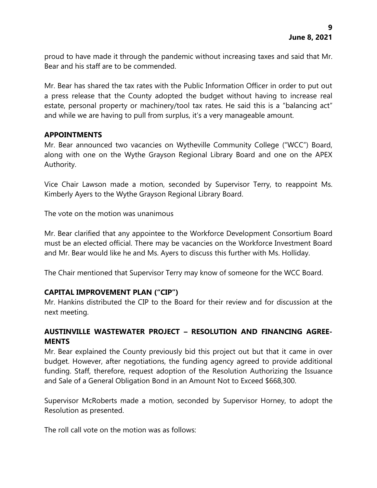proud to have made it through the pandemic without increasing taxes and said that Mr. Bear and his staff are to be commended.

Mr. Bear has shared the tax rates with the Public Information Officer in order to put out a press release that the County adopted the budget without having to increase real estate, personal property or machinery/tool tax rates. He said this is a "balancing act" and while we are having to pull from surplus, it's a very manageable amount.

#### **APPOINTMENTS**

Mr. Bear announced two vacancies on Wytheville Community College ("WCC") Board, along with one on the Wythe Grayson Regional Library Board and one on the APEX Authority.

Vice Chair Lawson made a motion, seconded by Supervisor Terry, to reappoint Ms. Kimberly Ayers to the Wythe Grayson Regional Library Board.

The vote on the motion was unanimous

Mr. Bear clarified that any appointee to the Workforce Development Consortium Board must be an elected official. There may be vacancies on the Workforce Investment Board and Mr. Bear would like he and Ms. Ayers to discuss this further with Ms. Holliday.

The Chair mentioned that Supervisor Terry may know of someone for the WCC Board.

## **CAPITAL IMPROVEMENT PLAN ("CIP")**

Mr. Hankins distributed the CIP to the Board for their review and for discussion at the next meeting.

## **AUSTINVILLE WASTEWATER PROJECT – RESOLUTION AND FINANCING AGREE-MENTS**

Mr. Bear explained the County previously bid this project out but that it came in over budget. However, after negotiations, the funding agency agreed to provide additional funding. Staff, therefore, request adoption of the Resolution Authorizing the Issuance and Sale of a General Obligation Bond in an Amount Not to Exceed \$668,300.

Supervisor McRoberts made a motion, seconded by Supervisor Horney, to adopt the Resolution as presented.

The roll call vote on the motion was as follows: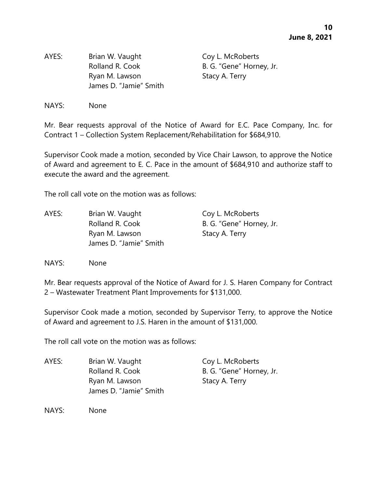AYES: Brian W. Vaught Coy L. McRoberts Rolland R. Cook B. G. "Gene" Horney, Jr. Ryan M. Lawson Stacy A. Terry James D. "Jamie" Smith

NAYS: None

Mr. Bear requests approval of the Notice of Award for E.C. Pace Company, Inc. for Contract 1 – Collection System Replacement/Rehabilitation for \$684,910.

Supervisor Cook made a motion, seconded by Vice Chair Lawson, to approve the Notice of Award and agreement to E. C. Pace in the amount of \$684,910 and authorize staff to execute the award and the agreement.

The roll call vote on the motion was as follows:

| AYES: | Brian W. Vaught        | Coy L. McRoberts         |
|-------|------------------------|--------------------------|
|       | Rolland R. Cook        | B. G. "Gene" Horney, Jr. |
|       | Ryan M. Lawson         | Stacy A. Terry           |
|       | James D. "Jamie" Smith |                          |

NAYS: None

Mr. Bear requests approval of the Notice of Award for J. S. Haren Company for Contract 2 – Wastewater Treatment Plant Improvements for \$131,000.

Supervisor Cook made a motion, seconded by Supervisor Terry, to approve the Notice of Award and agreement to J.S. Haren in the amount of \$131,000.

The roll call vote on the motion was as follows:

AYES: Brian W. Vaught Coy L. McRoberts Rolland R. Cook B. G. "Gene" Horney, Jr. Ryan M. Lawson Stacy A. Terry James D. "Jamie" Smith

NAYS: None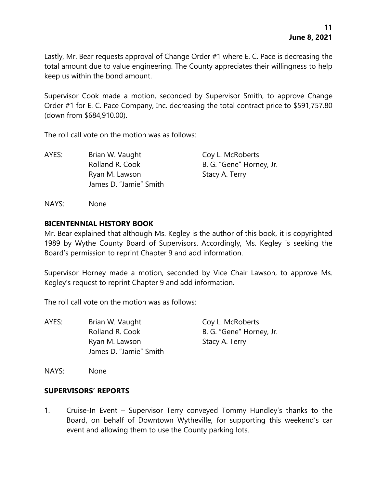Lastly, Mr. Bear requests approval of Change Order #1 where E. C. Pace is decreasing the total amount due to value engineering. The County appreciates their willingness to help keep us within the bond amount.

Supervisor Cook made a motion, seconded by Supervisor Smith, to approve Change Order #1 for E. C. Pace Company, Inc. decreasing the total contract price to \$591,757.80 (down from \$684,910.00).

The roll call vote on the motion was as follows:

AYES: Brian W. Vaught Coy L. McRoberts Rolland R. Cook B. G. "Gene" Horney, Jr. Ryan M. Lawson Stacy A. Terry James D. "Jamie" Smith

NAYS: None

#### **BICENTENNIAL HISTORY BOOK**

Mr. Bear explained that although Ms. Kegley is the author of this book, it is copyrighted 1989 by Wythe County Board of Supervisors. Accordingly, Ms. Kegley is seeking the Board's permission to reprint Chapter 9 and add information.

Supervisor Horney made a motion, seconded by Vice Chair Lawson, to approve Ms. Kegley's request to reprint Chapter 9 and add information.

The roll call vote on the motion was as follows:

| AYES: | Brian W. Vaught        | Coy L. McRoberts         |
|-------|------------------------|--------------------------|
|       | Rolland R. Cook        | B. G. "Gene" Horney, Jr. |
|       | Ryan M. Lawson         | Stacy A. Terry           |
|       | James D. "Jamie" Smith |                          |
|       |                        |                          |

NAYS: None

#### **SUPERVISORS' REPORTS**

1. Cruise-In Event – Supervisor Terry conveyed Tommy Hundley's thanks to the Board, on behalf of Downtown Wytheville, for supporting this weekend's car event and allowing them to use the County parking lots.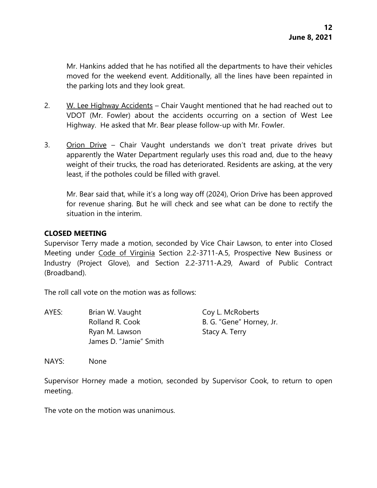Mr. Hankins added that he has notified all the departments to have their vehicles moved for the weekend event. Additionally, all the lines have been repainted in the parking lots and they look great.

- 2. W. Lee Highway Accidents Chair Vaught mentioned that he had reached out to VDOT (Mr. Fowler) about the accidents occurring on a section of West Lee Highway. He asked that Mr. Bear please follow-up with Mr. Fowler.
- 3. Orion Drive Chair Vaught understands we don't treat private drives but apparently the Water Department regularly uses this road and, due to the heavy weight of their trucks, the road has deteriorated. Residents are asking, at the very least, if the potholes could be filled with gravel.

Mr. Bear said that, while it's a long way off (2024), Orion Drive has been approved for revenue sharing. But he will check and see what can be done to rectify the situation in the interim.

## **CLOSED MEETING**

Supervisor Terry made a motion, seconded by Vice Chair Lawson, to enter into Closed Meeting under Code of Virginia Section 2.2-3711-A.5, Prospective New Business or Industry (Project Glove), and Section 2.2-3711-A.29, Award of Public Contract (Broadband).

The roll call vote on the motion was as follows:

| AYES: | Brian W. Vaught                          | Coy L. McRoberts         |
|-------|------------------------------------------|--------------------------|
|       | Rolland R. Cook                          | B. G. "Gene" Horney, Jr. |
|       | Ryan M. Lawson<br>James D. "Jamie" Smith | Stacy A. Terry           |
|       |                                          |                          |

NAYS: None

Supervisor Horney made a motion, seconded by Supervisor Cook, to return to open meeting.

The vote on the motion was unanimous.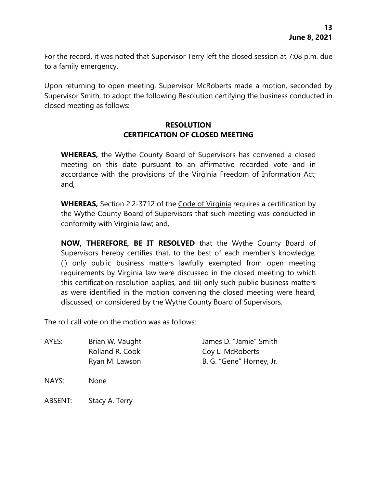For the record, it was noted that Supervisor Terry left the closed session at 7:08 p.m. due to a family emergency.

Upon returning to open meeting, Supervisor McRoberts made a motion, seconded by Supervisor Smith, to adopt the following Resolution certifying the business conducted in closed meeting as follows:

## **RESOLUTION CERTIFICATION OF CLOSED MEETING**

**WHEREAS,** the Wythe County Board of Supervisors has convened a closed meeting on this date pursuant to an affirmative recorded vote and in accordance with the provisions of the Virginia Freedom of Information Act; and,

**WHEREAS,** Section 2.2-3712 of the Code of Virginia requires a certification by the Wythe County Board of Supervisors that such meeting was conducted in conformity with Virginia law; and,

**NOW, THEREFORE, BE IT RESOLVED** that the Wythe County Board of Supervisors hereby certifies that, to the best of each member's knowledge, (i) only public business matters lawfully exempted from open meeting requirements by Virginia law were discussed in the closed meeting to which this certification resolution applies, and (ii) only such public business matters as were identified in the motion convening the closed meeting were heard, discussed, or considered by the Wythe County Board of Supervisors.

The roll call vote on the motion was as follows:

AYES: Brian W. Vaught James D. "Jamie" Smith Rolland R. Cook Coy L. McRoberts Ryan M. Lawson B. G. "Gene" Horney, Jr.

NAYS: None

ABSENT: Stacy A. Terry